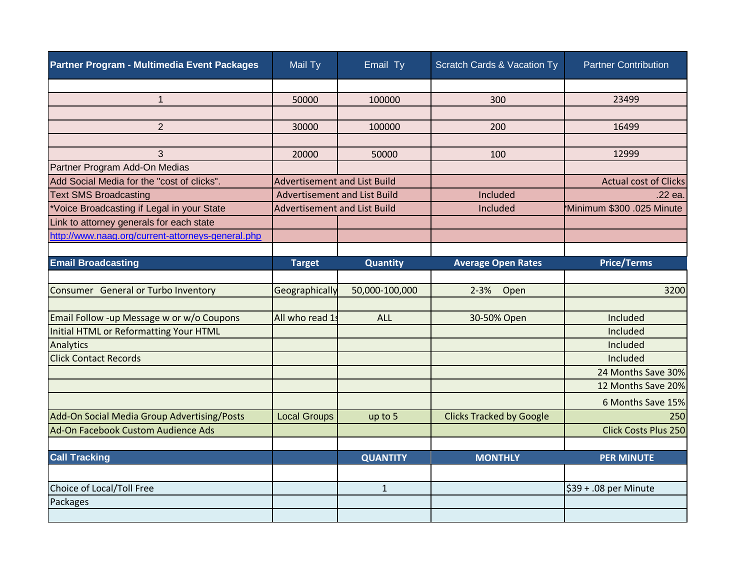| Partner Program - Multimedia Event Packages       | Mail Ty                             | Email Ty        | Scratch Cards & Vacation Ty     | <b>Partner Contribution</b>  |
|---------------------------------------------------|-------------------------------------|-----------------|---------------------------------|------------------------------|
|                                                   |                                     |                 |                                 |                              |
| $\mathbf{1}$                                      | 50000                               | 100000          | 300                             | 23499                        |
|                                                   |                                     |                 |                                 |                              |
| $\overline{2}$                                    | 30000                               | 100000          | 200                             | 16499                        |
|                                                   |                                     |                 |                                 |                              |
| 3                                                 | 20000                               | 50000           | 100                             | 12999                        |
| Partner Program Add-On Medias                     |                                     |                 |                                 |                              |
| Add Social Media for the "cost of clicks".        | <b>Advertisement and List Build</b> |                 |                                 | <b>Actual cost of Clicks</b> |
| <b>Text SMS Broadcasting</b>                      | <b>Advertisement and List Build</b> |                 | Included                        | .22 ea.                      |
| *Voice Broadcasting if Legal in your State        | <b>Advertisement and List Build</b> |                 | Included                        | Minimum \$300 .025 Minute    |
| Link to attorney generals for each state          |                                     |                 |                                 |                              |
| http://www.naag.org/current-attorneys-general.php |                                     |                 |                                 |                              |
|                                                   |                                     |                 |                                 |                              |
| <b>Email Broadcasting</b>                         | <b>Target</b>                       | Quantity        | <b>Average Open Rates</b>       | <b>Price/Terms</b>           |
|                                                   |                                     |                 |                                 |                              |
| Consumer General or Turbo Inventory               | Geographically                      | 50,000-100,000  | $2 - 3%$<br>Open                | 3200                         |
|                                                   |                                     |                 |                                 |                              |
| Email Follow -up Message w or w/o Coupons         | All who read 1s                     | <b>ALL</b>      | 30-50% Open                     | Included                     |
| Initial HTML or Reformatting Your HTML            |                                     |                 |                                 | Included                     |
| Analytics                                         |                                     |                 |                                 | Included                     |
| <b>Click Contact Records</b>                      |                                     |                 |                                 | Included                     |
|                                                   |                                     |                 |                                 | 24 Months Save 30%           |
|                                                   |                                     |                 |                                 | 12 Months Save 20%           |
|                                                   |                                     |                 |                                 | 6 Months Save 15%            |
| Add-On Social Media Group Advertising/Posts       | <b>Local Groups</b>                 | up to 5         | <b>Clicks Tracked by Google</b> | 250                          |
| Ad-On Facebook Custom Audience Ads                |                                     |                 |                                 | <b>Click Costs Plus 250</b>  |
|                                                   |                                     |                 |                                 |                              |
| <b>Call Tracking</b>                              |                                     | <b>QUANTITY</b> | <b>MONTHLY</b>                  | <b>PER MINUTE</b>            |
|                                                   |                                     |                 |                                 |                              |
| Choice of Local/Toll Free                         |                                     | $\mathbf{1}$    |                                 | \$39 + .08 per Minute        |
| Packages                                          |                                     |                 |                                 |                              |
|                                                   |                                     |                 |                                 |                              |